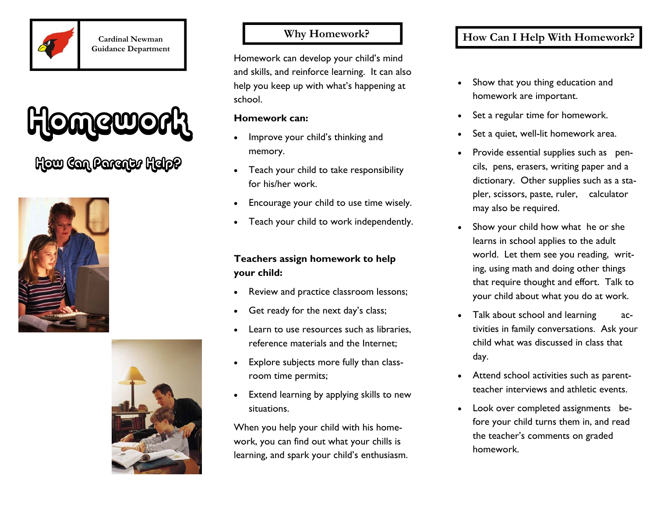

**Cardinal Newman Guidance Department** 

# **Homework**

## How Can Parents Help?





#### **Why Homework?**

Homework can develop your child's mind and skills, and reinforce learning. It can also help you keep up with what's happening at school.

#### **Homework can:**

- Improve your child's thinking and memory.
- Teach your child to take responsibility for his/her work.
- Encourage your child to use time wisely.
- Teach your child to work independently.

#### **Teachers assign homework to help your child:**

- Review and practice classroom lessons;
- Get ready for the next day's class;
- Learn to use resources such as libraries. reference materials and the Internet;
- Explore subjects more fully than classroom time permits;
- Extend learning by applying skills to new situations.

When you help your child with his homework, you can find out what your chills is learning, and spark your child's enthusiasm.

#### **How Can I Help With Homework?**

- Show that you thing education and homework are important.
- Set a regular time for homework.
- Set a quiet, well-lit homework area.
- Provide essential supplies such as pencils, pens, erasers, writing paper and a dictionary. Other supplies such as a stapler, scissors, paste, ruler, calculator may also be required.
- Show your child how what he or she learns in school applies to the adult world. Let them see you reading, writing, using math and doing other things that require thought and effort. Talk to your child about what you do at work.
- Talk about school and learning activities in family conversations. Ask your child what was discussed in class that day.
- Attend school activities such as parentteacher interviews and athletic events.
- Look over completed assignments before your child turns them in, and read the teacher's comments on graded homework.